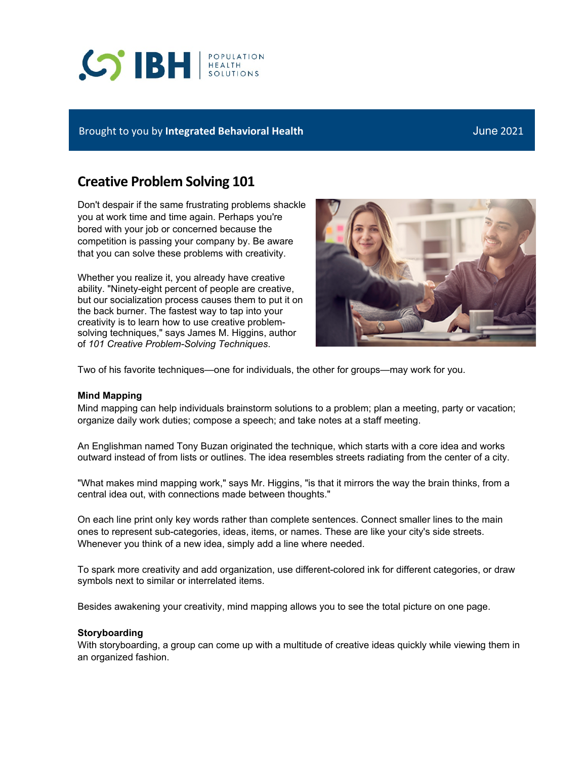# **SIBH REALTH**

## Brought to you by **Integrated Behavioral Health** June 2021

# **Creative Problem Solving 101**

Don't despair if the same frustrating problems shackle you at work time and time again. Perhaps you're bored with your job or concerned because the competition is passing your company by. Be aware that you can solve these problems with creativity.

Whether you realize it, you already have creative ability. "Ninety-eight percent of people are creative, but our socialization process causes them to put it on the back burner. The fastest way to tap into your creativity is to learn how to use creative problemsolving techniques," says James M. Higgins, author of *101 Creative Problem-Solving Techniques*.



Two of his favorite techniques—one for individuals, the other for groups—may work for you.

### **Mind Mapping**

Mind mapping can help individuals brainstorm solutions to a problem; plan a meeting, party or vacation; organize daily work duties; compose a speech; and take notes at a staff meeting.

An Englishman named Tony Buzan originated the technique, which starts with a core idea and works outward instead of from lists or outlines. The idea resembles streets radiating from the center of a city.

"What makes mind mapping work," says Mr. Higgins, "is that it mirrors the way the brain thinks, from a central idea out, with connections made between thoughts."

On each line print only key words rather than complete sentences. Connect smaller lines to the main ones to represent sub-categories, ideas, items, or names. These are like your city's side streets. Whenever you think of a new idea, simply add a line where needed.

To spark more creativity and add organization, use different-colored ink for different categories, or draw symbols next to similar or interrelated items.

Besides awakening your creativity, mind mapping allows you to see the total picture on one page.

### **Storyboarding**

With storyboarding, a group can come up with a multitude of creative ideas quickly while viewing them in an organized fashion.